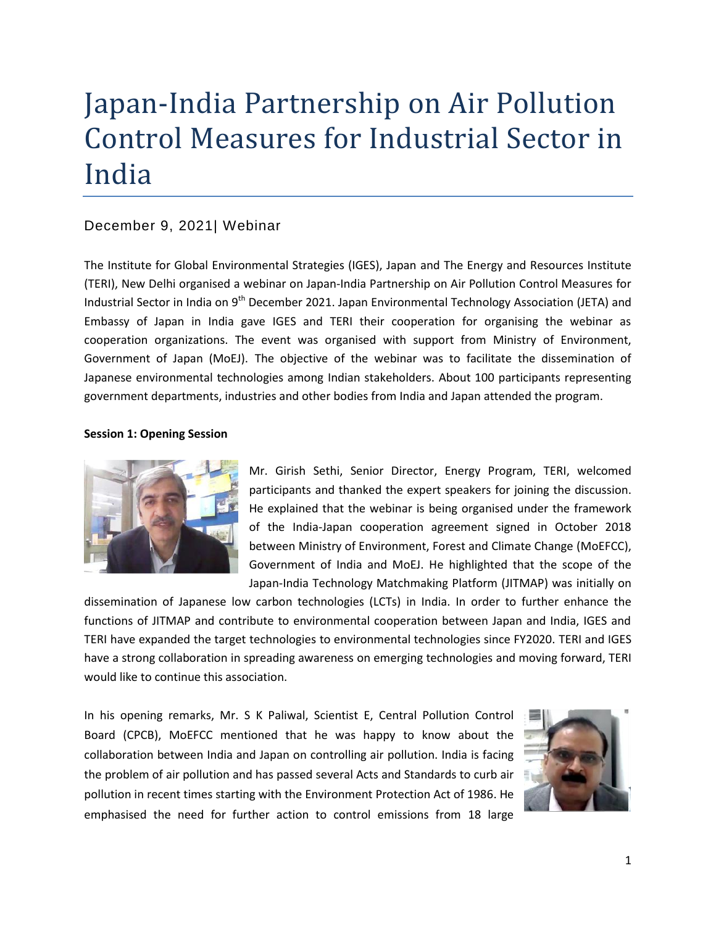# Japan-India Partnership on Air Pollution Control Measures for Industrial Sector in India

# December 9, 2021| Webinar

The Institute for Global Environmental Strategies (IGES), Japan and The Energy and Resources Institute (TERI), New Delhi organised a webinar on Japan-India Partnership on Air Pollution Control Measures for Industrial Sector in India on 9<sup>th</sup> December 2021. Japan Environmental Technology Association (JETA) and Embassy of Japan in India gave IGES and TERI their cooperation for organising the webinar as cooperation organizations. The event was organised with support from Ministry of Environment, Government of Japan (MoEJ). The objective of the webinar was to facilitate the dissemination of Japanese environmental technologies among Indian stakeholders. About 100 participants representing government departments, industries and other bodies from India and Japan attended the program.

## **Session 1: Opening Session**



Mr. Girish Sethi, Senior Director, Energy Program, TERI, welcomed participants and thanked the expert speakers for joining the discussion. He explained that the webinar is being organised under the framework of the India-Japan cooperation agreement signed in October 2018 between Ministry of Environment, Forest and Climate Change (MoEFCC), Government of India and MoEJ. He highlighted that the scope of the Japan-India Technology Matchmaking Platform (JITMAP) was initially on

dissemination of Japanese low carbon technologies (LCTs) in India. In order to further enhance the functions of JITMAP and contribute to environmental cooperation between Japan and India, IGES and TERI have expanded the target technologies to environmental technologies since FY2020. TERI and IGES have a strong collaboration in spreading awareness on emerging technologies and moving forward, TERI would like to continue this association.

In his opening remarks, Mr. S K Paliwal, Scientist E, Central Pollution Control Board (CPCB), MoEFCC mentioned that he was happy to know about the collaboration between India and Japan on controlling air pollution. India is facing the problem of air pollution and has passed several Acts and Standards to curb air pollution in recent times starting with the Environment Protection Act of 1986. He emphasised the need for further action to control emissions from 18 large

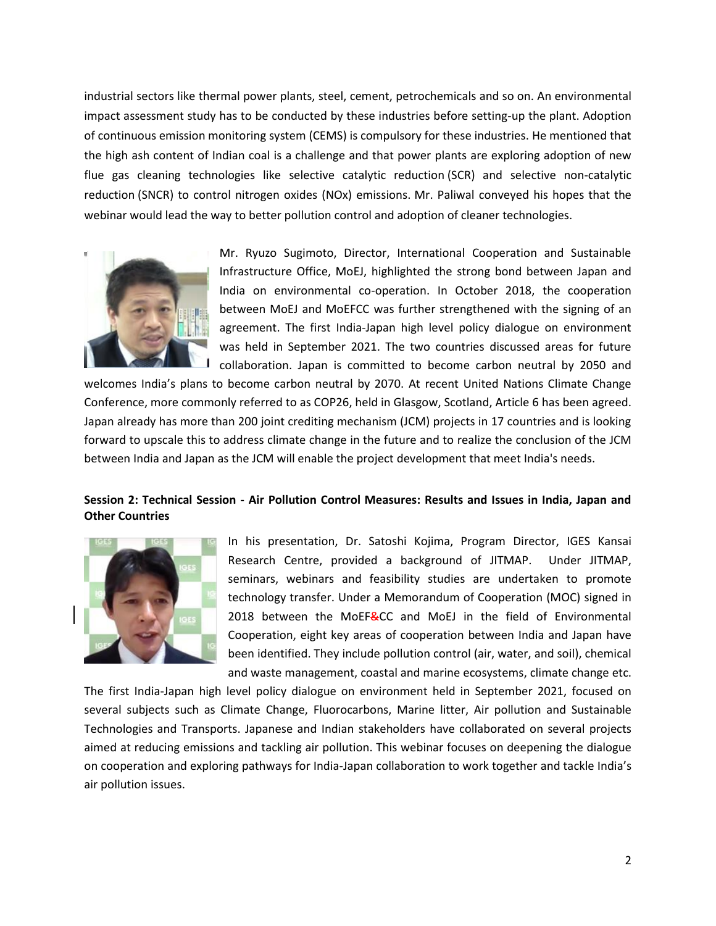industrial sectors like thermal power plants, steel, cement, petrochemicals and so on. An environmental impact assessment study has to be conducted by these industries before setting-up the plant. Adoption of continuous emission monitoring system (CEMS) is compulsory for these industries. He mentioned that the high ash content of Indian coal is a challenge and that power plants are exploring adoption of new flue gas cleaning technologies like selective catalytic reduction (SCR) and selective non-catalytic reduction (SNCR) to control nitrogen oxides (NOx) emissions. Mr. Paliwal conveyed his hopes that the webinar would lead the way to better pollution control and adoption of cleaner technologies.



Mr. Ryuzo Sugimoto, Director, International Cooperation and Sustainable Infrastructure Office, MoEJ, highlighted the strong bond between Japan and India on environmental co-operation. In October 2018, the cooperation between MoEJ and MoEFCC was further strengthened with the signing of an agreement. The first India-Japan high level policy dialogue on environment was held in September 2021. The two countries discussed areas for future collaboration. Japan is committed to become carbon neutral by 2050 and

welcomes India's plans to become carbon neutral by 2070. At recent United Nations Climate Change Conference, more commonly referred to as COP26, held in Glasgow, Scotland, Article 6 has been agreed. Japan already has more than 200 joint crediting mechanism (JCM) projects in 17 countries and is looking forward to upscale this to address climate change in the future and to realize the conclusion of the JCM between India and Japan as the JCM will enable the project development that meet India's needs.

## **Session 2: Technical Session - Air Pollution Control Measures: Results and Issues in India, Japan and Other Countries**



In his presentation, Dr. Satoshi Kojima, Program Director, IGES Kansai Research Centre, provided a background of JITMAP. Under JITMAP, seminars, webinars and feasibility studies are undertaken to promote technology transfer. Under a Memorandum of Cooperation (MOC) signed in 2018 between the MoEF&CC and MoEJ in the field of Environmental Cooperation, eight key areas of cooperation between India and Japan have been identified. They include pollution control (air, water, and soil), chemical and waste management, coastal and marine ecosystems, climate change etc.

The first India-Japan high level policy dialogue on environment held in September 2021, focused on several subjects such as Climate Change, Fluorocarbons, Marine litter, Air pollution and Sustainable Technologies and Transports. Japanese and Indian stakeholders have collaborated on several projects aimed at reducing emissions and tackling air pollution. This webinar focuses on deepening the dialogue on cooperation and exploring pathways for India-Japan collaboration to work together and tackle India's air pollution issues.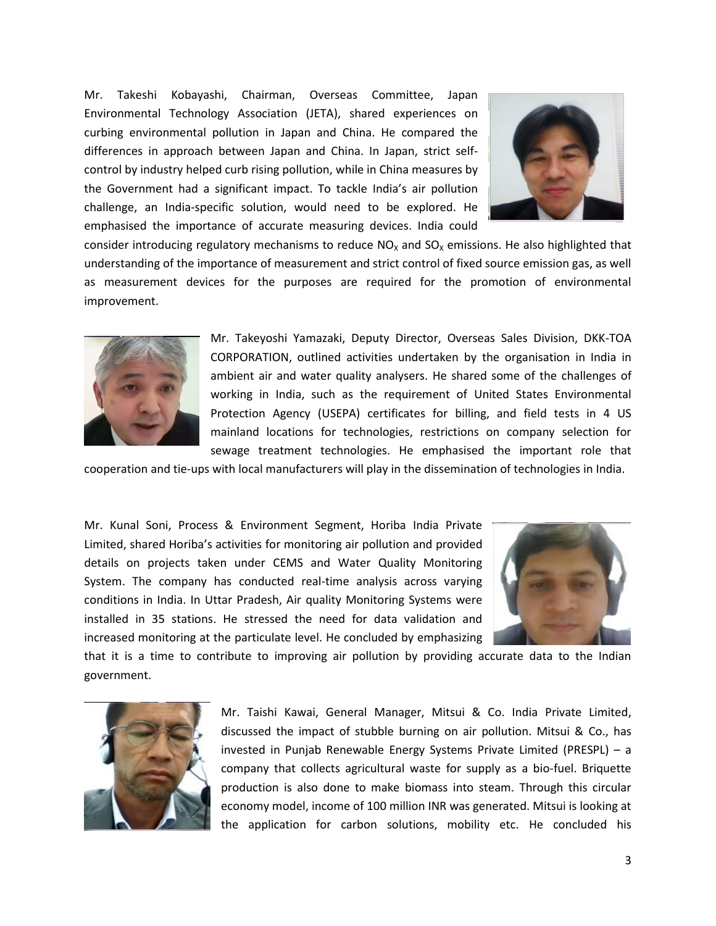Mr. Takeshi Kobayashi, Chairman, Overseas Committee, Japan Environmental Technology Association (JETA), shared experiences on curbing environmental pollution in Japan and China. He compared the differences in approach between Japan and China. In Japan, strict selfcontrol by industry helped curb rising pollution, while in China measures by the Government had a significant impact. To tackle India's air pollution challenge, an India-specific solution, would need to be explored. He emphasised the importance of accurate measuring devices. India could



consider introducing regulatory mechanisms to reduce  $NO<sub>X</sub>$  and  $SO<sub>X</sub>$  emissions. He also highlighted that understanding of the importance of measurement and strict control of fixed source emission gas, as well as measurement devices for the purposes are required for the promotion of environmental improvement.



Mr. Takeyoshi Yamazaki, Deputy Director, Overseas Sales Division, DKK-TOA CORPORATION, outlined activities undertaken by the organisation in India in ambient air and water quality analysers. He shared some of the challenges of working in India, such as the requirement of United States Environmental Protection Agency (USEPA) certificates for billing, and field tests in 4 US mainland locations for technologies, restrictions on company selection for sewage treatment technologies. He emphasised the important role that

cooperation and tie-ups with local manufacturers will play in the dissemination of technologies in India.

Mr. Kunal Soni, Process & Environment Segment, Horiba India Private Limited, shared Horiba's activities for monitoring air pollution and provided details on projects taken under CEMS and Water Quality Monitoring System. The company has conducted real-time analysis across varying conditions in India. In Uttar Pradesh, Air quality Monitoring Systems were installed in 35 stations. He stressed the need for data validation and increased monitoring at the particulate level. He concluded by emphasizing



that it is a time to contribute to improving air pollution by providing accurate data to the Indian government.



Mr. Taishi Kawai, General Manager, Mitsui & Co. India Private Limited, discussed the impact of stubble burning on air pollution. Mitsui & Co., has invested in Punjab Renewable Energy Systems Private Limited (PRESPL) – a company that collects agricultural waste for supply as a bio-fuel. Briquette production is also done to make biomass into steam. Through this circular economy model, income of 100 million INR was generated. Mitsui is looking at the application for carbon solutions, mobility etc. He concluded his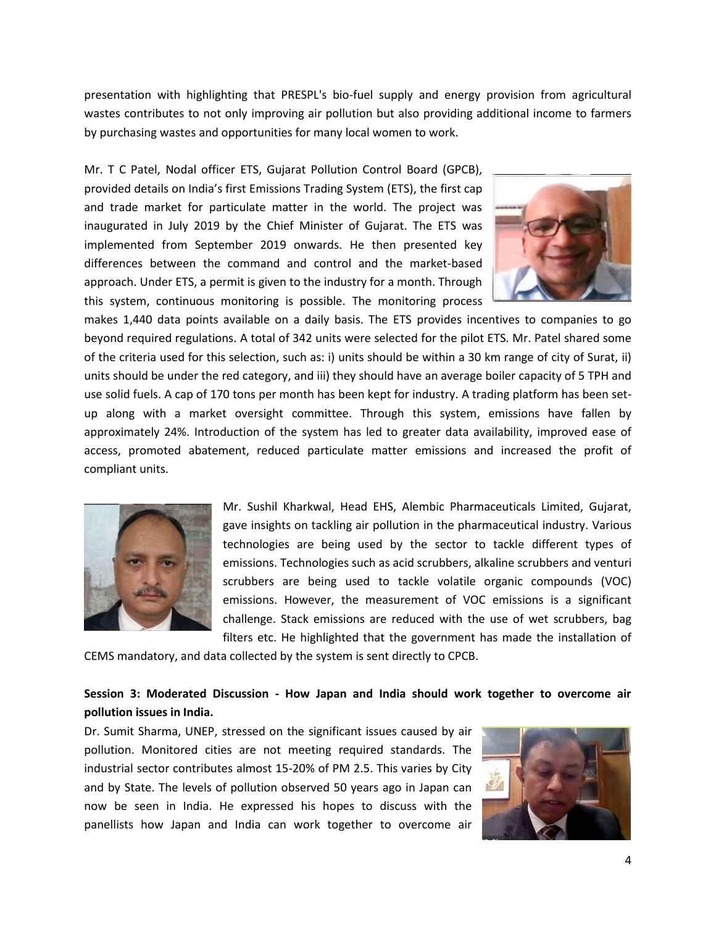presentation with highlighting that PRESPL's bio-fuel supply and energy provision from agricultural wastes contributes to not only improving air pollution but also providing additional income to farmers by purchasing wastes and opportunities for many local women to work.

Mr. T C Patel, Nodal officer ETS, Gujarat Pollution Control Board (GPCB), provided details on India's first Emissions Trading System (ETS), the first cap and trade market for particulate matter in the world. The project was inaugurated in July 2019 by the Chief Minister of Gujarat. The ETS was implemented from September 2019 onwards. He then presented key differences between the command and control and the market-based approach. Under ETS, a permit is given to the industry for a month. Through this system, continuous monitoring is possible. The monitoring process



makes 1,440 data points available on a daily basis. The ETS provides incentives to companies to go beyond required regulations. A total of 342 units were selected for the pilot ETS. Mr. Patel shared some of the criteria used for this selection, such as: i) units should be within a 30 km range of city of Surat, ii) units should be under the red category, and iii) they should have an average boiler capacity of 5 TPH and use solid fuels. A cap of 170 tons per month has been kept for industry. A trading platform has been setup along with a market oversight committee. Through this system, emissions have fallen by approximately 24%. Introduction of the system has led to greater data availability, improved ease of access, promoted abatement, reduced particulate matter emissions and increased the profit of compliant units.



Mr. Sushil Kharkwal, Head EHS, Alembic Pharmaceuticals Limited, Gujarat, gave insights on tackling air pollution in the pharmaceutical industry. Various technologies are being used by the sector to tackle different types of emissions. Technologies such as acid scrubbers, alkaline scrubbers and venturi scrubbers are being used to tackle volatile organic compounds (VOC) emissions. However, the measurement of VOC emissions is a significant challenge. Stack emissions are reduced with the use of wet scrubbers, bag filters etc. He highlighted that the government has made the installation of

CEMS mandatory, and data collected by the system is sent directly to CPCB.

# **Session 3: Moderated Discussion - How Japan and India should work together to overcome air pollution issues in India.**

Dr. Sumit Sharma, UNEP, stressed on the significant issues caused by air pollution. Monitored cities are not meeting required standards. The industrial sector contributes almost 15-20% of PM 2.5. This varies by City and by State. The levels of pollution observed 50 years ago in Japan can now be seen in India. He expressed his hopes to discuss with the panellists how Japan and India can work together to overcome air

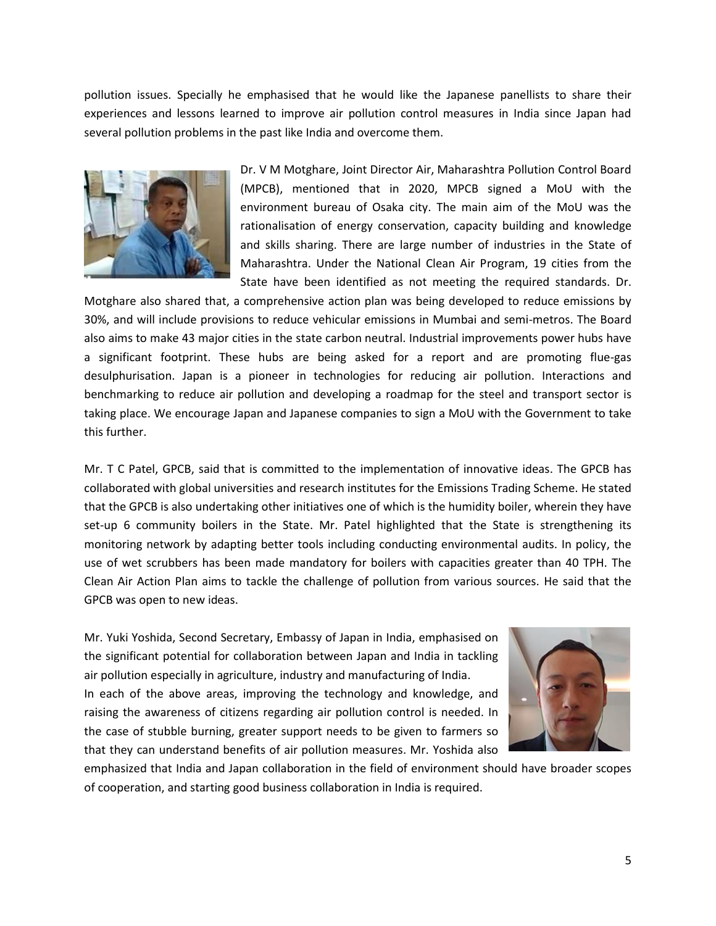pollution issues. Specially he emphasised that he would like the Japanese panellists to share their experiences and lessons learned to improve air pollution control measures in India since Japan had several pollution problems in the past like India and overcome them.



Dr. V M Motghare, Joint Director Air, Maharashtra Pollution Control Board (MPCB), mentioned that in 2020, MPCB signed a MoU with the environment bureau of Osaka city. The main aim of the MoU was the rationalisation of energy conservation, capacity building and knowledge and skills sharing. There are large number of industries in the State of Maharashtra. Under the National Clean Air Program, 19 cities from the State have been identified as not meeting the required standards. Dr.

Motghare also shared that, a comprehensive action plan was being developed to reduce emissions by 30%, and will include provisions to reduce vehicular emissions in Mumbai and semi-metros. The Board also aims to make 43 major cities in the state carbon neutral. Industrial improvements power hubs have a significant footprint. These hubs are being asked for a report and are promoting flue-gas desulphurisation. Japan is a pioneer in technologies for reducing air pollution. Interactions and benchmarking to reduce air pollution and developing a roadmap for the steel and transport sector is taking place. We encourage Japan and Japanese companies to sign a MoU with the Government to take this further.

Mr. T C Patel, GPCB, said that is committed to the implementation of innovative ideas. The GPCB has collaborated with global universities and research institutes for the Emissions Trading Scheme. He stated that the GPCB is also undertaking other initiatives one of which is the humidity boiler, wherein they have set-up 6 community boilers in the State. Mr. Patel highlighted that the State is strengthening its monitoring network by adapting better tools including conducting environmental audits. In policy, the use of wet scrubbers has been made mandatory for boilers with capacities greater than 40 TPH. The Clean Air Action Plan aims to tackle the challenge of pollution from various sources. He said that the GPCB was open to new ideas.

Mr. Yuki Yoshida, Second Secretary, Embassy of Japan in India, emphasised on the significant potential for collaboration between Japan and India in tackling air pollution especially in agriculture, industry and manufacturing of India. In each of the above areas, improving the technology and knowledge, and raising the awareness of citizens regarding air pollution control is needed. In the case of stubble burning, greater support needs to be given to farmers so that they can understand benefits of air pollution measures. Mr. Yoshida also



emphasized that India and Japan collaboration in the field of environment should have broader scopes of cooperation, and starting good business collaboration in India is required.